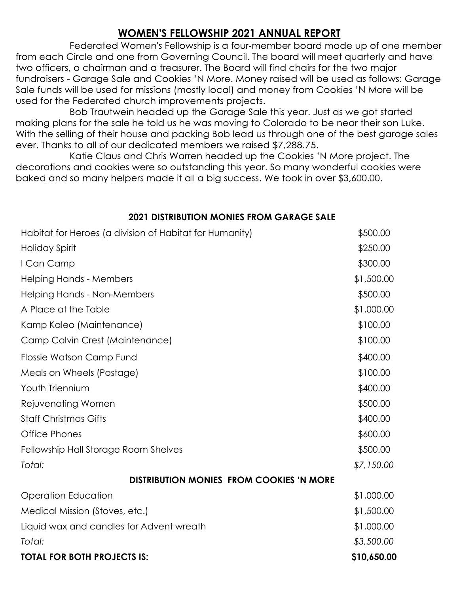## **WOMEN'S FELLOWSHIP 2021 ANNUAL REPORT**

Federated Women's Fellowship is a four-member board made up of one member from each Circle and one from Governing Council. The board will meet quarterly and have two officers, a chairman and a treasurer. The Board will find chairs for the two major fundraisers - Garage Sale and Cookies 'N More. Money raised will be used as follows: Garage Sale funds will be used for missions (mostly local) and money from Cookies 'N More will be used for the Federated church improvements projects.

Bob Trautwein headed up the Garage Sale this year. Just as we got started making plans for the sale he told us he was moving to Colorado to be near their son Luke. With the selling of their house and packing Bob lead us through one of the best garage sales ever. Thanks to all of our dedicated members we raised \$7,288.75.

Katie Claus and Chris Warren headed up the Cookies 'N More project. The decorations and cookies were so outstanding this year. So many wonderful cookies were baked and so many helpers made it all a big success. We took in over \$3,600.00.

## **2021 DISTRIBUTION MONIES FROM GARAGE SALE**

| Habitat for Heroes (a division of Habitat for Humanity) | \$500.00    |
|---------------------------------------------------------|-------------|
| <b>Holiday Spirit</b>                                   | \$250.00    |
| I Can Camp                                              | \$300.00    |
| <b>Helping Hands - Members</b>                          | \$1,500.00  |
| Helping Hands - Non-Members                             | \$500.00    |
| A Place at the Table                                    | \$1,000.00  |
| Kamp Kaleo (Maintenance)                                | \$100.00    |
| Camp Calvin Crest (Maintenance)                         | \$100.00    |
| Flossie Watson Camp Fund                                | \$400.00    |
| Meals on Wheels (Postage)                               | \$100.00    |
| Youth Triennium                                         | \$400.00    |
| Rejuvenating Women                                      | \$500.00    |
| <b>Staff Christmas Gifts</b>                            | \$400.00    |
| <b>Office Phones</b>                                    | \$600.00    |
| Fellowship Hall Storage Room Shelves                    | \$500.00    |
| Total:                                                  | \$7,150.00  |
| <b>DISTRIBUTION MONIES FROM COOKIES 'N MORE</b>         |             |
| <b>Operation Education</b>                              | \$1,000.00  |
| Medical Mission (Stoves, etc.)                          | \$1,500.00  |
| Liquid wax and candles for Advent wreath                | \$1,000.00  |
| Total:                                                  | \$3,500.00  |
| <b>TOTAL FOR BOTH PROJECTS IS:</b>                      | \$10,650.00 |